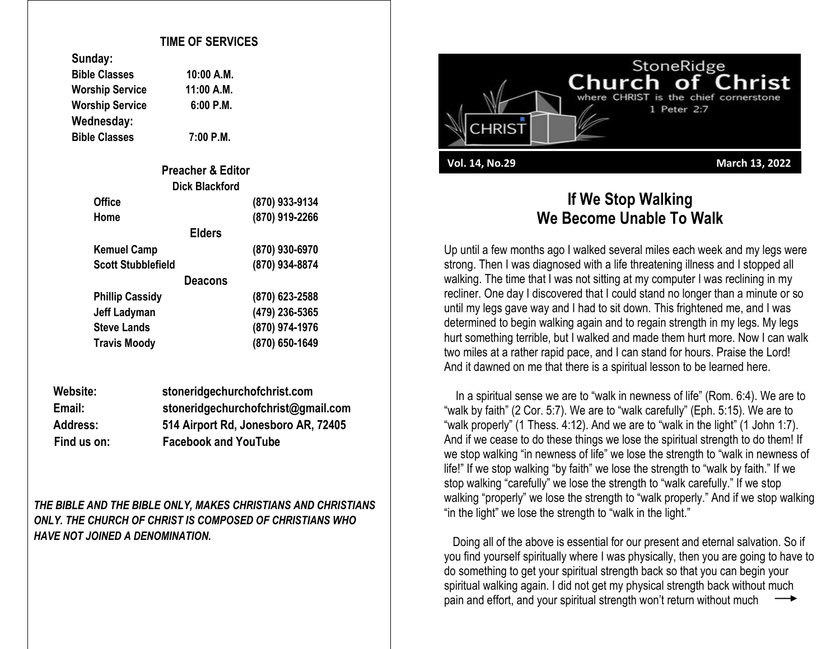## **TIME OF SERVICES**

| sungay:                |            |
|------------------------|------------|
| <b>Bible Classes</b>   | 10:00 A.M. |
| <b>Worship Service</b> | 11:00 A.M. |
| <b>Worship Service</b> | 6:00 P.M.  |
| Wednesday:             |            |
| <b>Bible Classes</b>   | 7:00 P.M.  |

**Sunday:**

| <b>Preacher &amp; Editor</b> |                |
|------------------------------|----------------|
| <b>Dick Blackford</b>        |                |
| <b>Office</b>                | (870) 933-9134 |
| Home                         | (870) 919-2266 |
| <b>Elders</b>                |                |
| <b>Kemuel Camp</b>           | (870) 930-6970 |
| <b>Scott Stubblefield</b>    | (870) 934-8874 |
| Deacons                      |                |
| <b>Phillip Cassidy</b>       | (870) 623-2588 |
| <b>Jeff Ladyman</b>          | (479) 236-5365 |
| <b>Steve Lands</b>           | (870) 974-1976 |
| <b>Travis Moody</b>          | (870) 650-1649 |

| Website:        | stoneridgechurchofchrist.com        |
|-----------------|-------------------------------------|
| Email:          | stoneridgechurchofchrist@gmail.com  |
| <b>Address:</b> | 514 Airport Rd, Jonesboro AR, 72405 |
| Find us on:     | <b>Facebook and YouTube</b>         |

*THE BIBLE AND THE BIBLE ONLY, MAKES CHRISTIANS AND CHRISTIANS ONLY. THE CHURCH OF CHRIST IS COMPOSED OF CHRISTIANS WHO HAVE NOT JOINED A DENOMINATION.*



## **If We Stop Walking We Become Unable To Walk**

Up until a few months ago I walked several miles each week and my legs were strong. Then I was diagnosed with a life threatening illness and I stopped all walking. The time that I was not sitting at my computer I was reclining in my recliner. One day I discovered that I could stand no longer than a minute or so until my legs gave way and I had to sit down. This frightened me, and I was determined to begin walking again and to regain strength in my legs. My legs hurt something terrible, but I walked and made them hurt more. Now I can walk two miles at a rather rapid pace, and I can stand for hours. Praise the Lord! And it dawned on me that there is a spiritual lesson to be learned here.

 In a spiritual sense we are to "walk in newness of life" (Rom. 6:4). We are to "walk by faith" (2 Cor. 5:7). We are to "walk carefully" (Eph. 5:15). We are to "walk properly" (1 Thess. 4:12). And we are to "walk in the light" (1 John 1:7). And if we cease to do these things we lose the spiritual strength to do them! If we stop walking "in newness of life" we lose the strength to "walk in newness of life!" If we stop walking "by faith" we lose the strength to "walk by faith." If we stop walking "carefully" we lose the strength to "walk carefully." If we stop walking "properly" we lose the strength to "walk properly." And if we stop walking "in the light" we lose the strength to "walk in the light."

 Doing all of the above is essential for our present and eternal salvation. So if you find yourself spiritually where I was physically, then you are going to have to do something to get your spiritual strength back so that you can begin your spiritual walking again. I did not get my physical strength back without much pain and effort, and your spiritual strength won't return without much